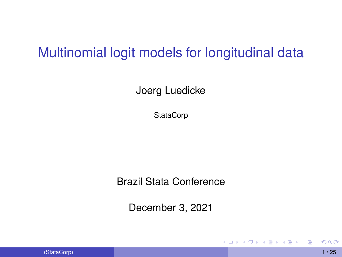## Multinomial logit models for longitudinal data

Joerg Luedicke

**StataCorp** 

Brazil Stata Conference

December 3, 2021

4 00 10

<span id="page-0-0"></span> $\mathcal{A}$   $\overline{\mathcal{B}}$   $\rightarrow$   $\mathcal{A}$   $\overline{\mathcal{B}}$   $\rightarrow$   $\mathcal{A}$   $\overline{\mathcal{B}}$   $\rightarrow$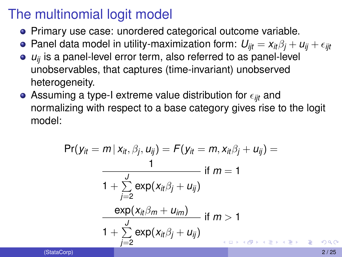## The multinomial logit model

- Primary use case: unordered categorical outcome variable.
- Panel data model in utility-maximization form:  $U_{ijt} = x_{it}\beta_i + u_{ii} + \epsilon_{ijt}$
- *u*<sub>ij</sub> is a panel-level error term, also referred to as panel-level unobservables, that captures (time-invariant) unobserved heterogeneity.
- $\bullet$  Assuming a type-I extreme value distribution for  $\epsilon_{ijt}$  and normalizing with respect to a base category gives rise to the logit model:

$$
Pr(y_{it} = m | x_{it}, \beta_j, u_{ij}) = F(y_{it} = m, x_{it}\beta_j + u_{ij}) =
$$
\n
$$
\frac{1}{1 + \sum_{j=2}^{J} exp(x_{it}\beta_j + u_{ij})}
$$
if  $m = 1$ \n
$$
\frac{exp(x_{it}\beta_m + u_{im})}{1 + \sum_{j=2}^{J} exp(x_{it}\beta_j + u_{ij})}
$$
if  $m > 1$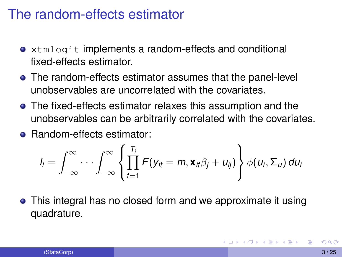#### The random-effects estimator

- **•** xtmlogit implements a random-effects and conditional fixed-effects estimator.
- The random-effects estimator assumes that the panel-level unobservables are uncorrelated with the covariates.
- The fixed-effects estimator relaxes this assumption and the unobservables can be arbitrarily correlated with the covariates.
- **e** Random-effects estimator:

$$
I_i = \int_{-\infty}^{\infty} \cdots \int_{-\infty}^{\infty} \left\{ \prod_{t=1}^{T_i} F(y_{it} = m, \mathbf{x}_{it} \beta_j + u_{ij}) \right\} \phi(u_i, \Sigma_u) du_i
$$

This integral has no closed form and we approximate it using quadrature.

**A BAR BAY**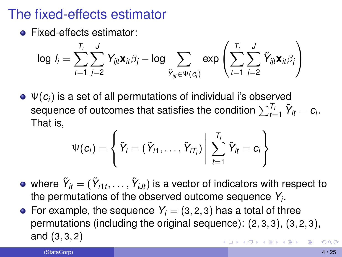## The fixed-effects estimator

**•** Fixed-effects estimator:

$$
\log l_i = \sum_{t=1}^{T_i} \sum_{j=2}^J Y_{ijt} \mathbf{x}_{it} \beta_j - \log \sum_{\tilde{Y}_{ijt} \in \Psi(c_i)} \exp \left( \sum_{t=1}^{T_i} \sum_{j=2}^J \tilde{Y}_{ijt} \mathbf{x}_{it} \beta_j \right)
$$

 $\bullet \Psi(c_i)$  is a set of all permutations of individual i's observed sequence of outcomes that satisfies the condition  $\sum_{t=1}^{T_i} \tilde{Y}_{it} = c_i.$ That is,

$$
\Psi(c_i) = \left\{ \left. \tilde{Y}_i = \left( \tilde{Y}_{i1}, \ldots, \tilde{Y}_{iT_i} \right) \right| \sum_{t=1}^{T_i} \tilde{Y}_{it} = c_i \right\}
$$

- where  $\tilde{\pmb{Y}}_{it} = (\tilde{\pmb{Y}}_{i1t}, \dots, \tilde{\pmb{Y}}_{iJt})$  is a vector of indicators with respect to the permutations of the observed outcome sequence *Y<sup>i</sup>* .
- For example, the sequence  $Y_i = (3, 2, 3)$  has a total of three permutations (including the original sequence): (2, 3, 3), (3, 2, 3), and (3, 3, 2)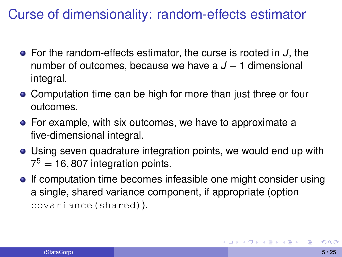## Curse of dimensionality: random-effects estimator

- For the random-effects estimator, the curse is rooted in *J*, the number of outcomes, because we have a *J* − 1 dimensional integral.
- Computation time can be high for more than just three or four outcomes.
- For example, with six outcomes, we have to approximate a five-dimensional integral.
- Using seven quadrature integration points, we would end up with  $7^5 = 16,807$  integration points.
- **If computation time becomes infeasible one might consider using** a single, shared variance component, if appropriate (option covariance(shared)).

<span id="page-4-0"></span>K ロ × K 御 × K 唐 × K 唐 × …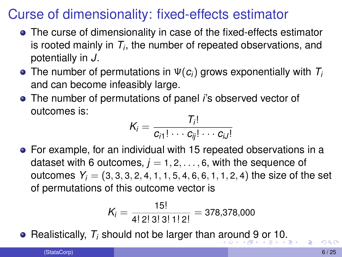## Curse of dimensionality: fixed-effects estimator

- The curse of dimensionality in case of the fixed-effects estimator is rooted mainly in  $T_i$ , the number of repeated observations, and potentially in *J*.
- The number of permutations in Ψ(*ci*) grows exponentially with *T<sup>i</sup>* and can become infeasibly large.
- The number of permutations of panel *i*'s observed vector of outcomes is:

$$
K_i = \frac{T_i!}{c_{i1}! \cdots c_{ij}! \cdots c_{iJ}!}
$$

For example, for an individual with 15 repeated observations in a dataset with 6 outcomes,  $j = 1, 2, \ldots, 6$ , with the sequence of outcomes  $Y_i = (3, 3, 3, 2, 4, 1, 1, 5, 4, 6, 6, 1, 1, 2, 4)$  the size of the set of permutations of this outcome vector is

<span id="page-5-0"></span>
$$
K_i = \frac{15!}{4! \ 2! \ 3! \ 3! \ 1! \ 2!} = 378,378,000
$$

**•** Realistically,  $T_i$  should not be larger than [aro](#page-4-0)[u](#page-6-0)[n](#page-4-0)[d](#page-5-0) [9](#page-6-0) [or](#page-0-0) [1](#page-24-0)[0.](#page-0-0)

(StataCorp) 6 / 25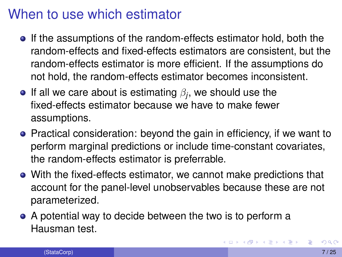## When to use which estimator

- If the assumptions of the random-effects estimator hold, both the random-effects and fixed-effects estimators are consistent, but the random-effects estimator is more efficient. If the assumptions do not hold, the random-effects estimator becomes inconsistent.
- If all we care about is estimating  $\beta_j$ , we should use the fixed-effects estimator because we have to make fewer assumptions.
- Practical consideration: beyond the gain in efficiency, if we want to perform marginal predictions or include time-constant covariates, the random-effects estimator is preferrable.
- With the fixed-effects estimator, we cannot make predictions that account for the panel-level unobservables because these are not parameterized.
- A potential way to decide between the two is to perform a Hausman test.

<span id="page-6-0"></span>ス重める悪め (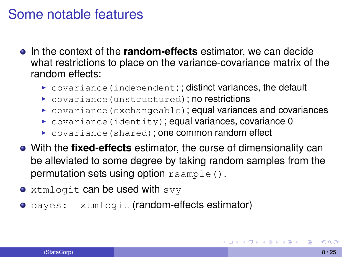#### Some notable features

- In the context of the **random-effects** estimator, we can decide what restrictions to place on the variance-covariance matrix of the random effects:
	- $\triangleright$  covariance (independent); distinct variances, the default
	- $\triangleright$  covariance (unstructured); no restrictions
	- $\triangleright$  covariance (exchangeable); equal variances and covariances
	- $\triangleright$  covariance (identity); equal variances, covariance 0
	- $\triangleright$  covariance (shared); one common random effect
- With the **fixed-effects** estimator, the curse of dimensionality can be alleviated to some degree by taking random samples from the permutation sets using option  $r \cdot \text{sample}($ ).
- xtmlogit can be used with svy
- o bayes: xtmlogit (random-effects estimator)

医单侧 医骨间的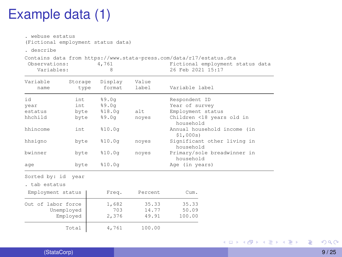## Example data (1)

| . webuse estatus<br>(Fictional employment status data)<br>. describe |                             |                                   |                         |                                                                                                                              |
|----------------------------------------------------------------------|-----------------------------|-----------------------------------|-------------------------|------------------------------------------------------------------------------------------------------------------------------|
| Observations:<br>Variables:                                          |                             | 4,761<br>8                        |                         | Contains data from https://www.stata-press.com/data/r17/estatus.dta<br>Fictional employment status data<br>26 Feb 2021 15:17 |
| Variable<br>name                                                     | Storage<br>type             | Display<br>format                 | Value<br>label          | Variable label                                                                                                               |
| id<br>year<br>estatus<br>hhchild                                     | int<br>int.<br>byte<br>byte | 89.0q<br>89.0q<br>818.0q<br>89.0a | alt<br>noves            | Respondent ID<br>Year of survey<br>Employment status<br>Children <18 years old in<br>household                               |
| hhincome<br>hhsigno                                                  | int<br>byte                 | 810.0q<br>810.0q                  | noves                   | Annual household income (in<br>\$1,000s)<br>Significant other living in                                                      |
| bwinner                                                              | byte                        | 810.0q                            | noves                   | household<br>Primary/sole breadwinner in<br>household                                                                        |
| age                                                                  | byte                        | 810.0q                            |                         | Age (in years)                                                                                                               |
| Sorted by: id year<br>. tab estatus                                  |                             |                                   |                         |                                                                                                                              |
| Employment status                                                    |                             | Freq.                             | Percent                 | Cum.                                                                                                                         |
| Out of labor force                                                   | Unemployed<br>Employed      | 1,682<br>703<br>2,376             | 35.33<br>14.77<br>49.91 | 35.33<br>50.09<br>100.00                                                                                                     |
|                                                                      | Total                       | 4,761                             | 100.00                  |                                                                                                                              |

重

イロトメ 御 トメ 君 トメ 君 トッ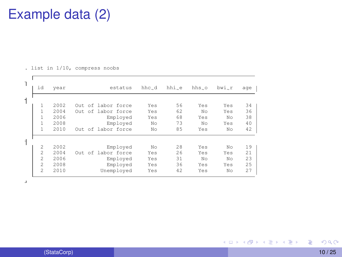## Example data (2)

. list in 1/10, compress noobs

| $\overline{1}$ | id             | year | estatus            | hhc_d | hhi_e | hhs.o | bwi_r | age |
|----------------|----------------|------|--------------------|-------|-------|-------|-------|-----|
| $\mathbf{1}$   | 1              | 2002 | Out of labor force | Yes   | 56    | Yes   | Yes   | 34  |
|                | 1              | 2004 | Out of labor force | Yes   | 62    | No    | Yes   | 36  |
|                | 1              | 2006 | Employed           | Yes   | 68    | Yes   | No    | 38  |
|                | $\mathbf{1}$   | 2008 | Employed           | No    | 73    | No    | Yes   | 40  |
|                | $\mathbf{1}$   | 2010 | Out of labor force | No    | 85    | Yes   | No    | 42  |
| $\mathbf{1}$   | $\overline{2}$ | 2002 | Employed           | No    | 28    | Yes   | No    | 19  |
|                | $\overline{2}$ | 2004 | Out of labor force | Yes   | 26    | Yes   | Yes   | 21  |
|                | $\overline{2}$ | 2006 | Employed           | Yes   | 31    | No    | No    | 23  |
|                | $\overline{2}$ | 2008 | Employed           | Yes   | 36    | Yes   | Yes   | 25  |
|                | $\overline{2}$ | 2010 | Unemployed         | Yes   | 42    | Yes   | No    | 27  |

 $\bar{a}$ 

重

メロメメ 御 メメ きょく きょう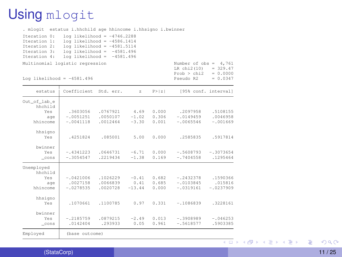## Using mlogit

|                                                                              | . mlogit estatus i.hhchild age hhincome i.hhsigno i.bwinner                                                                                                         |                                  |                             |                         |                                           |                                    |                             |   |          |
|------------------------------------------------------------------------------|---------------------------------------------------------------------------------------------------------------------------------------------------------------------|----------------------------------|-----------------------------|-------------------------|-------------------------------------------|------------------------------------|-----------------------------|---|----------|
| Iteration 0:<br>Iteration 1:<br>Iteration 2:<br>Iteration 3:<br>Iteration 4: | $log$ likelihood = -4746.2288<br>$log$ likelihood = -4586.1414<br>$log$ likelihood = -4581.5114<br>$log$ likelihood = $-4581.496$<br>$log$ likelihood = $-4581.496$ |                                  |                             |                         |                                           |                                    |                             |   |          |
| Multinomial logistic regression                                              |                                                                                                                                                                     |                                  |                             |                         | Number of $obs = 4,761$<br>LR chi2(10)    | $= 329.47$                         |                             |   |          |
| Log likelihood = $-4581.496$                                                 |                                                                                                                                                                     |                                  |                             |                         | Prob > chi2<br>Pseudo R2                  | $= 0.0000$<br>$= 0.0347$           |                             |   |          |
| estatus                                                                      | Coefficient Std. err.                                                                                                                                               |                                  | $\mathbf{z}$                | P >  Z                  |                                           | [95% conf. interval]               |                             |   |          |
| Out of lab_e<br>hhchild<br>Yes<br>age<br>hhincome                            | .3603056<br>$-.0051251$<br>$-.0041118$                                                                                                                              | .0767921<br>.0050107<br>.0012464 | 4.69<br>$-1.02$<br>$-3.30$  | 0.000<br>0.306<br>0.001 | .2097958<br>$-.0149459$<br>$-.0065546$    | .5108155<br>.0046958<br>$-.001669$ |                             |   |          |
| hhsigno<br>Yes                                                               | .4251824                                                                                                                                                            | .085001                          | 5.00                        | 0.000                   | .2585835                                  | .5917814                           |                             |   |          |
| bwinner<br>Yes<br>cons                                                       | $-.4341223$<br>$-.3054547$                                                                                                                                          | .0646731<br>.2219434             | $-6.71$<br>$-1.38$          | 0.000<br>0.169          | $-.5608793$<br>$-.7404558$                | $-.3073654$<br>.1295464            |                             |   |          |
| Unemployed<br>hhchild<br>Yes.<br>age<br>hhincome                             | $-.0421006$<br>.0027158<br>$-.0278535$                                                                                                                              | .1026229<br>.0066839<br>.0020728 | $-0.41$<br>0.41<br>$-13.44$ | 0.682<br>0.685<br>0.000 | $-.2432378$<br>$-.0103845$<br>$-.0319161$ | .1590366<br>.015816<br>$-.0237909$ |                             |   |          |
| hhsigno<br>Yes                                                               | .1070661                                                                                                                                                            | .1100785                         | 0.97                        | 0.331                   | $-.1086839$                               | .3228161                           |                             |   |          |
| bwinner<br>Yes<br>cons                                                       | $-.2185759$<br>.0142404                                                                                                                                             | .0879215<br>.293933              | $-2.49$<br>0.05             | 0.013<br>0.961          | $-.3908989$<br>$-.5618577$                | $-.046253$<br>.5903385             |                             |   |          |
| Employed                                                                     | (base outcome)                                                                                                                                                      |                                  |                             |                         |                                           |                                    |                             |   |          |
|                                                                              |                                                                                                                                                                     |                                  |                             |                         |                                           |                                    | <b>≮ロト ⊀個 ▶ ⊀ 君 ▶ ⊀ 君 ▶</b> | 目 | $\Omega$ |

(StataCorp) 11 / 25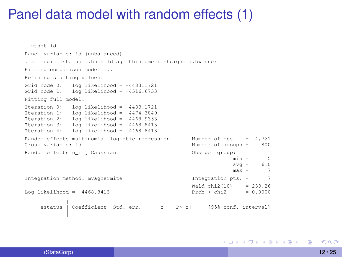#### Panel data model with random effects (1)

```
. xtset id
Panel variable: id (unbalanced)
. xtmlogit estatus i.hhchild age hhincome i.hhsigno i.bwinner
Fitting comparison model ...
Refining starting values:
Grid node 0: log likelihood = -4483.1721
Grid node 1: log likelihood = -4516.6753
Fitting full model:
Iteration 0: log likelihood = -4483.1721<br>Iteration 1: log likelihood = -4474.3849Iteration 1: log likelihood = -4474.3849<br>Iteration 2: log likelihood = -4468.93531<sub>0</sub> likelihood = -4468.9353Iteration 3: log likelihood = -4468.8415<br>Iteration 4: log likelihood = -4468.8413
                 1og likelihood = -4468.8413Random-effects multinomial logistic regression Mumber of obs = 4,761<br>Group variable: id Number of groups = 800
                                                               Number of groups = 800
Random effects u i 6aussian
                                                               Obs per group:
                                                                              min = 5<br>av = 6.0av\sigma =max = 7Integration method: mvaghermite The Integration pts. = 7
                                                               Wald chi2(10) = 239.26<br>Prob > chi2 = 0.0000Log likelihood = -4468.8413estatus | Coefficient Std. err. z P>|z| [95% conf. interval]
```
∍

イロト イ押 トイラト イラトー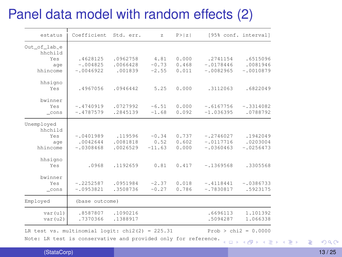## Panel data model with random effects (2)

| estatus                                          | Coefficient            | Std. err.            | $\overline{z}$  | P >  Z         | [95% conf. interval]    |                      |
|--------------------------------------------------|------------------------|----------------------|-----------------|----------------|-------------------------|----------------------|
| Out_of_lab_e                                     |                        |                      |                 |                |                         |                      |
| hhchild                                          |                        |                      |                 |                |                         |                      |
| Yes                                              | .4628125<br>$-1004825$ | .0962758<br>.0066428 | 4.81<br>$-0.73$ | 0.000<br>0.468 | .2741154<br>$-.0178446$ | .6515096<br>.0081946 |
| age<br>hhincome                                  | $-10046922$            | .001839              | $-2.55$         | 0.011          | $-10082965$             | $-10010879$          |
|                                                  |                        |                      |                 |                |                         |                      |
| hhsigno                                          |                        |                      |                 |                |                         |                      |
| Yes                                              | .4967056               | .0946442             | 5.25            | 0.000          | .3112063                | .6822049             |
|                                                  |                        |                      |                 |                |                         |                      |
| bwinner                                          |                        |                      |                 |                |                         |                      |
| Yes                                              | $-.4740919$            | .0727992             | $-6.51$         | 0.000          | $-16167756$             | $-.3314082$          |
| cons                                             | $-.4787579$            | .2845139             | $-1.68$         | 0.092          | $-1.036395$             | .0788792             |
| Unemployed                                       |                        |                      |                 |                |                         |                      |
| hhchild                                          |                        |                      |                 |                |                         |                      |
| Yes                                              | $-.0401989$            | .119596              | $-0.34$         | 0.737          | $-.2746027$             | .1942049             |
| age                                              | .0042644               | .0081818             | 0.52            | 0.602          | $-.0117716$             | .0203004             |
| hhincome                                         | $-.0308468$            | .0026529             | $-11.63$        | 0.000          | $-10360463$             | $-10256473$          |
|                                                  |                        |                      |                 |                |                         |                      |
| hhsigno                                          |                        |                      |                 |                |                         |                      |
| Yes                                              | .0968                  | .1192659             | 0.81            | 0.417          | $-1369568$              | .3305568             |
|                                                  |                        |                      |                 |                |                         |                      |
| bwinner                                          |                        |                      |                 |                |                         |                      |
| Yes                                              | $-.2252587$            | .0951984             | $-2.37$         | 0.018          | $-.4118441$             | $-10386733$          |
| cons                                             | $-10953821$            | .3508736             | $-0.27$         | 0.786          | $-.7830817$             | .5923175             |
| Employed                                         | (base outcome)         |                      |                 |                |                         |                      |
| var(u1)                                          | .8587807               | .1090216             |                 |                | .6696113                | 1.101392             |
| var(u2)                                          | .7370366               | .1388917             |                 |                | .5094287                | 1.066338             |
|                                                  |                        |                      |                 |                |                         |                      |
| LR test vs. multinomial logit: $chi(2) = 225.31$ |                        |                      |                 |                | $Prob > chi2 = 0.0000$  |                      |

Note: LR test is conservative and provided only for reference.  $\overline{a}$   $\rightarrow$   $\overline{a}$   $\rightarrow$   $\overline{a}$   $\rightarrow$   $\overline{a}$   $\rightarrow$   $\overline{a}$   $\rightarrow$   $\overline{a}$ 

(StataCorp) 13 / 25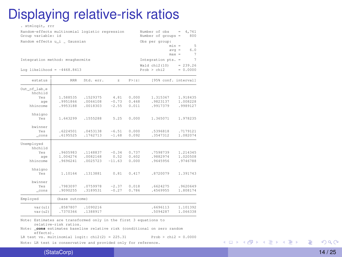## Displaying relative-risk ratios

| . xtmlogit, rrr                                                      |                |           |                |        |                                     |                        |  |
|----------------------------------------------------------------------|----------------|-----------|----------------|--------|-------------------------------------|------------------------|--|
| Random-effects multinomial logistic regression<br>Group variable: id |                |           |                |        | Number of obs<br>Number of groups = | 4,761<br>$-$<br>800    |  |
| Random effects u_i _ Gaussian                                        |                |           |                |        | Obs per group:                      |                        |  |
|                                                                      |                |           |                |        |                                     | $min -$<br>5           |  |
|                                                                      |                |           |                |        |                                     | 6.0<br>$avq =$         |  |
|                                                                      |                |           |                |        |                                     | 7<br>$max -$           |  |
| Integration method: mvaghermite                                      |                |           |                |        | Integration pts. -                  | $\overline{7}$         |  |
|                                                                      |                |           |                |        |                                     |                        |  |
| Log likelihood - $-4468.8413$                                        |                |           |                |        | Wald chi2 (10)<br>Prob > chi2       | $-239.26$<br>$-0.0000$ |  |
|                                                                      |                |           |                |        |                                     |                        |  |
| estatus                                                              | <b>RRR</b>     | Std. err. | $\overline{z}$ | P >  Z | [95% conf. interval]                |                        |  |
| $Out_of_labels e$                                                    |                |           |                |        |                                     |                        |  |
| hhchild                                                              |                |           |                |        |                                     |                        |  |
| Yes                                                                  | 1.588535       | .1529375  | 4.81           | 0.000  | 1.315367                            | 1.918435               |  |
| age                                                                  | .9951866       | .0066108  | $-0.73$        | 0.468  | .9823137                            | 1.008228               |  |
| hhincome                                                             | .9953188       | .0018303  | $-2.55$        | 0.011  | .9917379                            | .9989127               |  |
| hhsigno                                                              |                |           |                |        |                                     |                        |  |
| Yes                                                                  | 1.643299       | .1555288  | 5.25           | 0.000  | 1.365071                            | 1.978235               |  |
|                                                                      |                |           |                |        |                                     |                        |  |
| bwinner                                                              |                |           |                |        |                                     |                        |  |
| Yes                                                                  | .6224501       | .0453138  | $-6.51$        | 0.000  | .5396818                            | .7179121               |  |
| $_{cons}$                                                            | .6195525       | .1762713  | $-1.68$        | 0.092  | .3547312                            | 1.082074               |  |
| Unemployed                                                           |                |           |                |        |                                     |                        |  |
| hhchild                                                              |                |           |                |        |                                     |                        |  |
| Yes                                                                  | .9605983       | .1148837  | $-0.34$        | 0.737  | .7598739                            | 1.214345               |  |
| age                                                                  | 1.004274       | .0082168  | 0.52           | 0.602  | .9882974                            | 1.020508               |  |
| hhincome                                                             | .9696241       | .0025723  | $-11.63$       | 0.000  | .9645956                            | .9746788               |  |
|                                                                      |                |           |                |        |                                     |                        |  |
| hhsigno                                                              |                |           |                |        |                                     |                        |  |
| Yes                                                                  | 1.10164        | .1313881  | 0.81           | 0.417  | .8720079                            | 1.391743               |  |
|                                                                      |                |           |                |        |                                     |                        |  |
| bwinner                                                              |                |           |                |        |                                     |                        |  |
| Yes                                                                  | .7983097       | .0759978  | $-2.37$        | 0.018  | .6624275                            | .9620649               |  |
| $_{cons}$                                                            | .9090255       | .3189531  | $-0.27$        | 0.786  | .4569955                            | 1.808174               |  |
| Employed                                                             | (base outcome) |           |                |        |                                     |                        |  |
| var (u1)                                                             | .8587807       | .1090216  |                |        | .6696113                            | 1.101392               |  |
| var(u2)                                                              | .7370366       | .1388917  |                |        | .5094287                            | 1.066338               |  |
|                                                                      |                |           |                |        |                                     |                        |  |

Note: Estimates are transformed only in the first 3 equations to relative-risk ratios.

Note: **\_cons** estimates baseline relative risk (conditional on zero random effects).

LR test vs. multinomial logit: chi2(2) = 225.31 Prob > chi2 = 0.0000

Note: LR test is conservative and provided only for reference.

重

メロメメ 御 メメ きょく きょう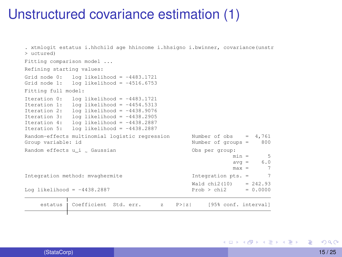#### Unstructured covariance estimation (1)

. xtmlogit estatus i.hhchild age hhincome i.hhsigno i.bwinner, covariance(unstr > uctured) Fitting comparison model ... Refining starting values: Grid node 0: log likelihood =  $-4483.1721$ <br>Grid node 1: log likelihood =  $-4516.6753$  $log 1$ ikelihood = -4516.6753 Fitting full model: Iteration 0: log likelihood =  $-4483.1721$ <br>Iteration 1: log likelihood =  $-4454.5313$  $1$ og likelihood = -4454.5313 Iteration 2: log likelihood = -4438.9076 Iteration 3: log likelihood = -4438.2905 Iteration  $4:$  log likelihood =  $-4438.2887$ Iteration 5: log likelihood = -4438.2887 Random-effects multinomial logistic regression Mumber of obs = 4,761<br>Group variable: id Number of groups = Random effects u i . Gaussian Obs per group:  $min = 5$ <br> $avg = 6.0$  $\text{avg} = 6.0$ <br>max = 7  $m \circ v =$ Integration method: mvaghermite The Integration pts. =  $Wald chi2(10) = 242.93$ <br> $Prob > chi2 = 0.0000$ Log likelihood =  $-4438.2887$ estatus Coefficient Std. err. z P>|z| [95% conf. interval]

<span id="page-14-0"></span>∍

イロト イ押 トイラト イラトー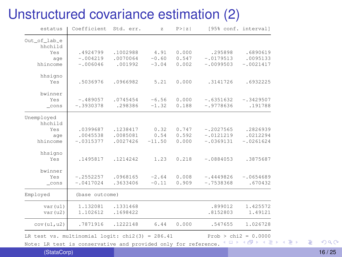#### Unstructured covariance estimation (2)

| estatus                 | Coefficient             | Std. err.            | $\bar{z}$        | P >  Z         |                            | [95% conf. interval]    |
|-------------------------|-------------------------|----------------------|------------------|----------------|----------------------------|-------------------------|
| Out of lab_e<br>hhchild |                         |                      |                  |                |                            |                         |
| Yes                     | .4924799                | .1002988             | 4.91             | 0.000          | .295898                    | .6890619                |
| age                     | $-1004219$              | .0070064             | $-0.60$          | 0.547          | $-10179513$                | .0095133                |
| hhincome                | $-1006046$              | .001992              | $-3.04$          | 0.002          | $-10099503$                | $-.0021417$             |
| hhsigno                 |                         |                      |                  |                |                            |                         |
| Yes                     | .5036976                | .0966982             | 5.21             | 0.000          | .3141726                   | .6932225                |
| bwinner                 |                         |                      |                  |                |                            |                         |
| Yes                     | $-1489057$              | .0745454             | $-6.56$          | 0.000          | $-16351632$                | $-.3429507$             |
| cons                    | $-.3930378$             | .298386              | $-1.32$          | 0.188          | $-19778636$                | .191788                 |
| Unemployed              |                         |                      |                  |                |                            |                         |
| hhchild                 |                         |                      |                  |                |                            |                         |
| Yes                     | .0399687                | .1238417             | 0.32             | 0.747          | $-.2027565$                | .2826939                |
| age<br>hhincome         | .0045538<br>$-.0315377$ | .0085081<br>.0027426 | 0.54<br>$-11.50$ | 0.592<br>0.000 | $-.0121219$<br>$-10369131$ | .0212294<br>$-10261624$ |
|                         |                         |                      |                  |                |                            |                         |
| hhsigno                 |                         |                      |                  |                |                            |                         |
| Yes                     | .1495817                | .1214242             | 1.23             | 0.218          | $-10884053$                | .3875687                |
| bwinner                 |                         |                      |                  |                |                            |                         |
| Yes                     | $-.2552257$             | .0968165             | $-2.64$          | 0.008          | $-.4449826$                | $-10654689$             |
| cons                    | $-.0417024$             | .3633406             | $-0.11$          | 0.909          | $-.7538368$                | .670432                 |
| Employed                | (base outcome)          |                      |                  |                |                            |                         |
| var(u1)                 | 1.132081                | .1331468             |                  |                | .899012                    | 1.425572                |
| var(u2)                 | 1.102612                | .1698422             |                  |                | .8152803                   | 1.49121                 |
| cov(u1, u2)             | .7871916                | .1222148             | 6.44             | 0.000          | .547655                    | 1.026728                |

LR test vs. multinomial logit: chi2(3) = 286.41 Prob [>](#page-14-0) c[hi2](#page-16-0)[= 0](#page-15-0)[.0](#page-16-0)[000](#page-0-0)<br>Note: IB test is concernative and provided calculate personance  $\{\Box\}$  ( $\overline{\Box}$ )  $\{\Box\}$ )  $\{\Box\}$ 

Note: LR test is conservative and provided only for reference.

(StataCorp) 16 / 25

<span id="page-15-0"></span>活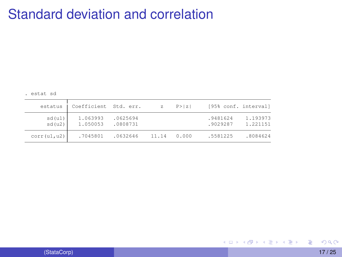## Standard deviation and correlation

. estat sd

| estatus          | Coefficient Std. err. |                      | $\mathbb{Z}$ | P >  Z | [95% conf. interval] |                      |
|------------------|-----------------------|----------------------|--------------|--------|----------------------|----------------------|
| sd(u1)<br>sd(u2) | 1.063993<br>1.050053  | .0625694<br>.0808731 |              |        | .9481624<br>.9029287 | 1.193973<br>1.221151 |
| corr(ul, u2)     | .7045801              | .0632646             | 11.14        | 0.000  | .5581225             | .8084624             |

<span id="page-16-0"></span>活

メロトメ 御 トメ 君 トメ 君 ト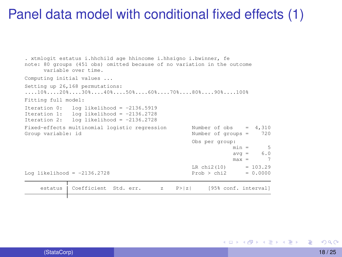#### Panel data model with conditional fixed effects (1)

```
. xtmlogit estatus i.hhchild age hhincome i.hhsigno i.bwinner, fe
note: 80 groups (451 obs) omitted because of no variation in the outcome
      variable over time.
Computing initial values ...
Setting up 26,168 permutations:
....10%....20%....30%....40%....50%....60%....70%....80%....90%....100%
Fitting full model:
Iteration 0: log likelihood = -2136.5919
Iteration 1: log likelihood = -2136.2728
Iteration 2: log 1ikelihood = -2136.2728
Fixed-effects multinomial logistic regression Mumber of obs = 4,310<br>Group variable: id in Number of oroups = 720
                                                     Number of groups =Obs per group:
                                                                   min = 5\text{avg} = 6.0<br>\text{max} = 7max =LR \text{ chi} 2(10) = 103.29Log likelihood = -2136.2728 Prob > chi2 = 0.0000
     estatus | Coefficient Std. err. z P>|z| [95% conf. interval]
```
∍

イロト イ押 トイラト イラトー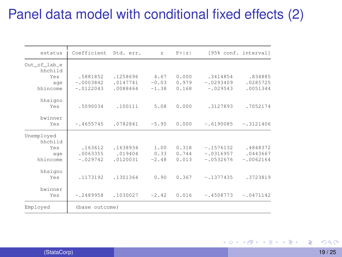## Panel data model with conditional fixed effects (2)

| estatus                 | Coefficient Std. err. |          | $\mathbb{Z}$ | P >  Z |             | [95% conf. interval] |
|-------------------------|-----------------------|----------|--------------|--------|-------------|----------------------|
| Out of lab e<br>hhchild |                       |          |              |        |             |                      |
| Yes                     | .5881852              | .1258696 | 4.67         | 0.000  | .3414854    | .834885              |
| age                     | $-.0003842$           | .0147741 | $-0.03$      | 0.979  | $-10293409$ | .0285725             |
| hhincome                | $-.0122043$           | .0088464 | $-1.38$      | 0.168  | $-.029543$  | .0051344             |
| hhsigno                 |                       |          |              |        |             |                      |
| Yes                     | .5090034              | .100111  | 5.08         | 0.000  | .3127893    | .7052174             |
| bwinner                 |                       |          |              |        |             |                      |
| Yes                     | $-14655745$           | .0782841 | $-5.95$      | 0.000  | $-.6190085$ | $-.3121406$          |
| Unemployed              |                       |          |              |        |             |                      |
| hhchild                 |                       |          |              |        |             |                      |
| Yes                     | .163612               | .1638934 | 1.00         | 0.318  | $-.1576132$ | .4848372             |
| age                     | .0063355              | .019404  | 0.33         | 0.744  | $-10316957$ | .0443667             |
| hhincome                | $-.029742$            | .0120031 | $-2.48$      | 0.013  | $-10532676$ | $-10062164$          |
| hhsigno                 |                       |          |              |        |             |                      |
| Yes                     | .1173192              | .1301364 | 0.90         | 0.367  | $-.1377435$ | .3723819             |
| bwinner                 |                       |          |              |        |             |                      |
| Yes                     | $-.2489958$           | .1030027 | $-2.42$      | 0.016  | $-.4508773$ | $-.0471142$          |
| Employed                | (base outcome)        |          |              |        |             |                      |

(StataCorp) 19 / 25

 $298$ 

重

イロト イ押 トイラト イラト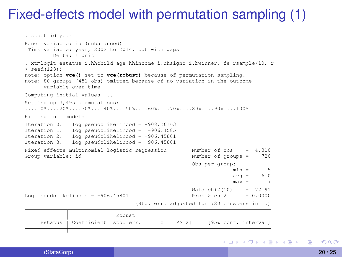## Fixed-effects model with permutation sampling (1)

```
. xtset id year
Panel variable: id (unbalanced)
Time variable: year, 2002 to 2014, but with gaps
         Delta: 1 unit
. xtmlogit estatus i.hhchild age hhincome i.hhsigno i.bwinner, fe rsample(10, r
> seed(123))
note: option vce() set to vce(robust) because of permutation sampling.
note: 80 groups (451 obs) omitted because of no variation in the outcome
      variable over time.
Computing initial values ...
Setting up 3,495 permutations:
....10%....20%....30%....40%....50%....60%....70%....80%....90%....100%
Fitting full model:
Iteration 0: log pseudolikelihood = -908.26163<br>Iteration 1: log pseudolikelihood = -906.4585Iteration 1: log pseudolikelihood = -906.4585<br>Iteration 2: log pseudolikelihood = -906.45801Iteration 2: log pseudolikelihood = -906.45801<br>Iteration 3: log pseudolikelihood = -906.458011og pseudolikelihood = -906.45801
Fixed-effects multinomial logistic regression Number of obs = 4,310
Group variable: id \blacksquare Number of groups = 720
                                                         Obs per group:
                                                                       min = 5\text{avg} = 6.0<br>\text{max} = 7max =Wald chi2(10) = 72.91
Log pseudolikelihood = -906.45801 Prob > chi2 = 0.0000
                                      (Std. err. adjusted for 720 clusters in id)
                               Robust
     estatus Coefficient std. err. z P>|z| [95% conf. interval]
```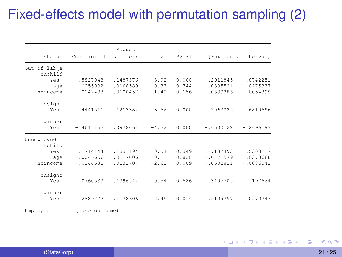## Fixed-effects model with permutation sampling (2)

|              |                | Robust    |              |        |             |                      |
|--------------|----------------|-----------|--------------|--------|-------------|----------------------|
| estatus      | Coefficient    | std. err. | $\mathbf{z}$ | P >  z |             | [95% conf. interval] |
| Out of lab e |                |           |              |        |             |                      |
| hhchild      |                |           |              |        |             |                      |
| Yes          | .5827048       | .1487376  | 3.92         | 0.000  | .2911845    | .8742251             |
| age          | $-10055092$    | .0168589  | $-0.33$      | 0.744  | $-.0385521$ | .0275337             |
| hhincome     | $-10142493$    | .0100457  | $-1.42$      | 0.156  | $-10339386$ | .0054399             |
| hhsigno      |                |           |              |        |             |                      |
| Yes          | .4441511       | .1213382  | 3.66         | 0.000  | .2063325    | .6819696             |
| bwinner      |                |           |              |        |             |                      |
| Yes          | $-.4613157$    | .0978061  | $-4.72$      | 0.000  | $-.6530122$ | $-.2696193$          |
| Unemployed   |                |           |              |        |             |                      |
| hhchild      |                |           |              |        |             |                      |
| Yes          | .1714144       | .1831194  | 0.94         | 0.349  | $-.187493$  | .5303217             |
| age          | $-10046656$    | .0217006  | $-0.21$      | 0.830  | $-10471979$ | .0378668             |
| hhincome     | $-.0344681$    | .0131707  | $-2.62$      | 0.009  | $-10602821$ | $-10086541$          |
| hhsigno      |                |           |              |        |             |                      |
| Yes          | $-.0760533$    | .1396542  | $-0.54$      | 0.586  | $-.3497705$ | .197664              |
| bwinner      |                |           |              |        |             |                      |
| Yes          | $-.2889772$    | .1178606  | $-2.45$      | 0.014  | $-.5199797$ | $-.0579747$          |
| Employed     | (base outcome) |           |              |        |             |                      |

4 ロ ト ィ *同* ト → 君をす者を 重  $298$ 

(StataCorp) 21 / 25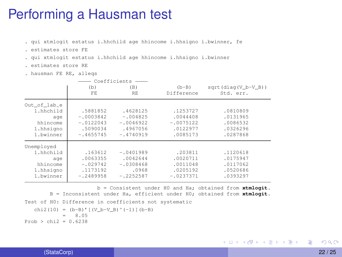#### Performing a Hausman test

. qui xtmlogit estatus i.hhchild age hhincome i.hhsigno i.bwinner, fe

- . estimates store FE
- . qui xtmlogit estatus i.hhchild age hhincome i.hhsigno i.bwinner
- . estimates store RE
- . hausman FE RE, alleqs

|              |             | Coefficients |             |                       |
|--------------|-------------|--------------|-------------|-----------------------|
|              | (b)         | (B)          | $(b-B)$     | $sqrt(diag(V b-V B))$ |
|              | FE.         | RE           | Difference  | Std. err.             |
| Out of lab_e |             |              |             |                       |
| 1.hhchild    | .5881852    | .4628125     | .1253727    | .0810809              |
| age          | $-10003842$ | $-.004825$   | .0044408    | .0131965              |
| hhincome     | $-10122043$ | $-.0046922$  | $-10075122$ | .0086532              |
| 1.hhsigno    | .5090034    | .4967056     | .0122977    | .0326296              |
| 1.bwinner    | $-4655745$  | $-.4740919$  | .0085173    | .0287868              |
| Unemployed   |             |              |             |                       |
| 1.hhchild    | .163612     | $-10401989$  | .203811     | .1120618              |
| age          | .0063355    | .0042644     | .0020711    | .0175947              |
| hhincome     | $-.029742$  | $-.0308468$  | .0011048    | .0117062              |
| 1.hhsigno    | .1173192    | .0968        | .0205192    | .0520686              |
| 1.bwinner    | $-.2489958$ | $-.2252587$  | $-10237371$ | .0393297              |

b = Consistent under H0 and Ha; obtained from **xtmlogit**. B = Inconsistent under Ha, efficient under H0; obtained from **xtmlogit**. Test of H0: Difference in coefficients not systematic chi2(10) = (b-B)' [(V\_b-V\_B)^(-1)](b-B)  $= 8.05$  $Prob > chi2 = 0.6238$ 

G.

イロトメ 御 トメ 君 トメ 君 トー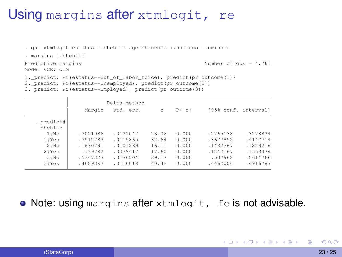#### Using margins after xtmlogit, re

. qui xtmlogit estatus i.hhchild age hhincome i.hhsigno i.bwinner

. margins i.hhchild

Model VCE: OIM

Predictive margins  $\blacksquare$ 

4 0 8 4 5 8 4 5 8 4 5 8 1

1. predict: Pr(estatus==Out of labor force), predict(pr outcome(1))

2.\_predict: Pr(estatus==Unemployed), predict(pr outcome(2))

3.\_predict: Pr(estatus==Employed), predict(pr outcome(3))

|                                                                        |                                                                     | Delta-method                                                         |                                                    |                                                    |                                                                     |                                                                      |
|------------------------------------------------------------------------|---------------------------------------------------------------------|----------------------------------------------------------------------|----------------------------------------------------|----------------------------------------------------|---------------------------------------------------------------------|----------------------------------------------------------------------|
|                                                                        | Marqin                                                              | std. err.                                                            | $\mathbb{Z}$                                       | P >  z                                             |                                                                     | [95% conf. interval]                                                 |
| predict#<br>hhchild<br>1#No<br>1#Yes<br>2#No<br>2#Yes<br>3#No<br>3#Yes | .3021986<br>.3912783<br>.1630791<br>.139782<br>.5347223<br>.4689397 | .0131047<br>.0119865<br>.0101239<br>.0079417<br>.0136504<br>.0116018 | 23.06<br>32.64<br>16.11<br>17.60<br>39.17<br>40.42 | 0.000<br>0.000<br>0.000<br>0.000<br>0.000<br>0.000 | .2765138<br>.3677852<br>.1432367<br>.1242167<br>.507968<br>.4462006 | .3278834<br>.4147714<br>.1829216<br>.1553474<br>.5614766<br>.4916787 |

**• Note: using margins after xtmlogit, fe is not advisable.** 

в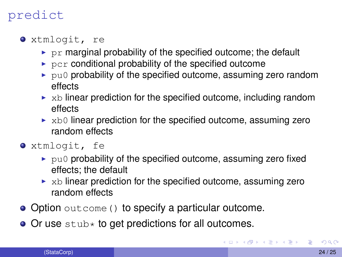#### predict

- xtmlogit, re
	- $\triangleright$  pr marginal probability of the specified outcome; the default
	- $\triangleright$  pcr conditional probability of the specified outcome
	- $\rightarrow$  pu0 probability of the specified outcome, assuming zero random effects
	- $\triangleright$  xb linear prediction for the specified outcome, including random effects
	- $\triangleright$  xb0 linear prediction for the specified outcome, assuming zero random effects
- xtmlogit, fe
	- $\blacktriangleright$  pu0 probability of the specified outcome, assuming zero fixed effects; the default
	- $\triangleright$  xb linear prediction for the specified outcome, assuming zero random effects
- Option outcome () to specify a particular outcome.
- $\bullet$  Or use stub $\star$  to get predictions for all outcomes.

**CONVIRTING A REPORT OF**